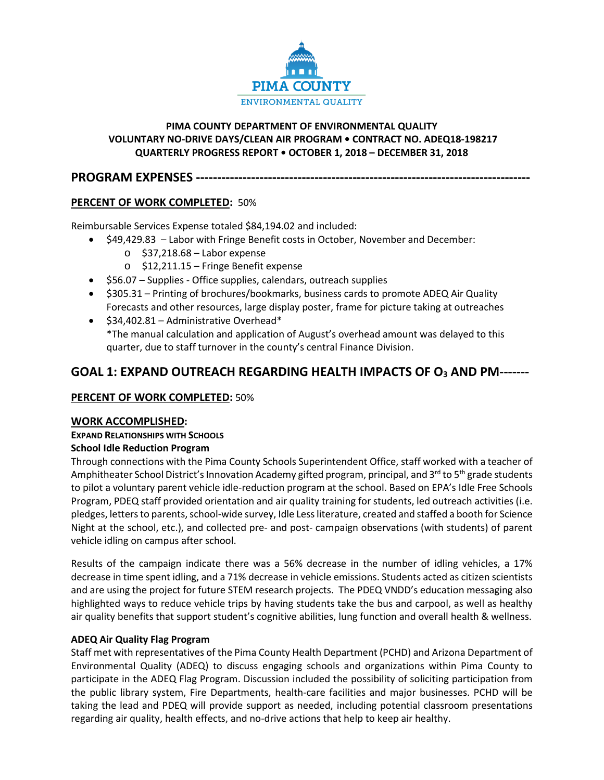

## **PIMA COUNTY DEPARTMENT OF ENVIRONMENTAL QUALITY VOLUNTARY NO-DRIVE DAYS/CLEAN AIR PROGRAM • CONTRACT NO. ADEQ18-198217 QUARTERLY PROGRESS REPORT • OCTOBER 1, 2018 – DECEMBER 31, 2018**

**PROGRAM EXPENSES -------------------------------------------------------------------------------**

# **PERCENT OF WORK COMPLETED:** 50%

Reimbursable Services Expense totaled \$84,194.02 and included:

- \$49,429.83 Labor with Fringe Benefit costs in October, November and December:
	- o \$37,218.68 Labor expense
	- o \$12,211.15 Fringe Benefit expense
	- \$56.07 Supplies Office supplies, calendars, outreach supplies
	- \$305.31 Printing of brochures/bookmarks, business cards to promote ADEQ Air Quality Forecasts and other resources, large display poster, frame for picture taking at outreaches
	- \$34,402.81 Administrative Overhead\* \*The manual calculation and application of August's overhead amount was delayed to this quarter, due to staff turnover in the county's central Finance Division.

# **GOAL 1: EXPAND OUTREACH REGARDING HEALTH IMPACTS OF O3 AND PM-------**

# **PERCENT OF WORK COMPLETED:** 50%

# **WORK ACCOMPLISHED:**

# **EXPAND RELATIONSHIPS WITH SCHOOLS**

# **School Idle Reduction Program**

Through connections with the Pima County Schools Superintendent Office, staff worked with a teacher of Amphitheater School District's Innovation Academy gifted program, principal, and  $3^{rd}$  to  $5^{th}$  grade students to pilot a voluntary parent vehicle idle-reduction program at the school. Based on EPA's Idle Free Schools Program, PDEQ staff provided orientation and air quality training for students, led outreach activities (i.e. pledges, letters to parents, school-wide survey, Idle Less literature, created and staffed a booth for Science Night at the school, etc.), and collected pre- and post- campaign observations (with students) of parent vehicle idling on campus after school.

Results of the campaign indicate there was a 56% decrease in the number of idling vehicles, a 17% decrease in time spent idling, and a 71% decrease in vehicle emissions. Students acted as citizen scientists and are using the project for future STEM research projects. The PDEQ VNDD's education messaging also highlighted ways to reduce vehicle trips by having students take the bus and carpool, as well as healthy air quality benefits that support student's cognitive abilities, lung function and overall health & wellness.

# **ADEQ Air Quality Flag Program**

Staff met with representatives of the Pima County Health Department (PCHD) and Arizona Department of Environmental Quality (ADEQ) to discuss engaging schools and organizations within Pima County to participate in the ADEQ Flag Program. Discussion included the possibility of soliciting participation from the public library system, Fire Departments, health-care facilities and major businesses. PCHD will be taking the lead and PDEQ will provide support as needed, including potential classroom presentations regarding air quality, health effects, and no-drive actions that help to keep air healthy.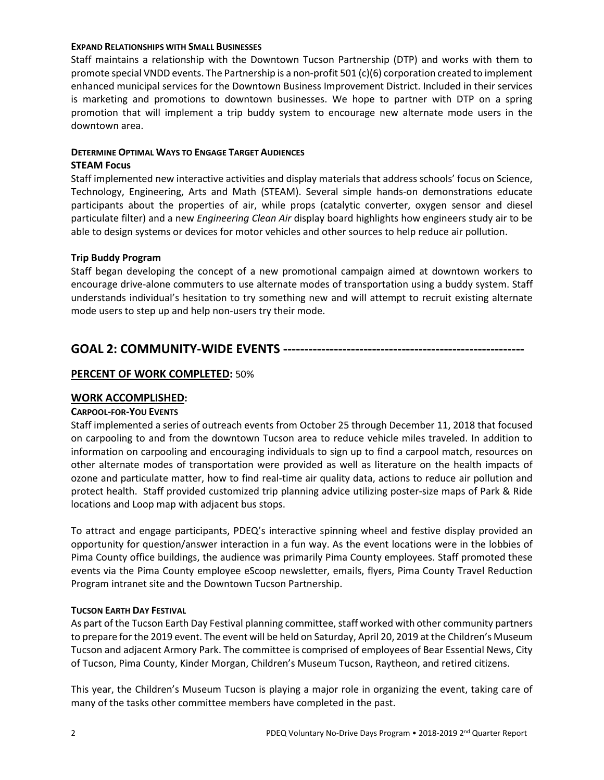#### **EXPAND RELATIONSHIPS WITH SMALL BUSINESSES**

Staff maintains a relationship with the Downtown Tucson Partnership (DTP) and works with them to promote special VNDD events. The Partnership is a non-profit 501 (c)(6) corporation created to implement enhanced municipal services for the Downtown Business Improvement District. Included in their services is marketing and promotions to downtown businesses. We hope to partner with DTP on a spring promotion that will implement a trip buddy system to encourage new alternate mode users in the downtown area.

## **DETERMINE OPTIMAL WAYS TO ENGAGE TARGET AUDIENCES**

## **STEAM Focus**

Staff implemented new interactive activities and display materials that address schools' focus on Science, Technology, Engineering, Arts and Math (STEAM). Several simple hands-on demonstrations educate participants about the properties of air, while props (catalytic converter, oxygen sensor and diesel particulate filter) and a new *Engineering Clean Air* display board highlights how engineers study air to be able to design systems or devices for motor vehicles and other sources to help reduce air pollution.

## **Trip Buddy Program**

Staff began developing the concept of a new promotional campaign aimed at downtown workers to encourage drive-alone commuters to use alternate modes of transportation using a buddy system. Staff understands individual's hesitation to try something new and will attempt to recruit existing alternate mode users to step up and help non-users try their mode.

# **GOAL 2: COMMUNITY-WIDE EVENTS ---------------------------------------------------------**

# **PERCENT OF WORK COMPLETED:** 50%

## **WORK ACCOMPLISHED:**

## **CARPOOL-FOR-YOU EVENTS**

Staff implemented a series of outreach events from October 25 through December 11, 2018 that focused on carpooling to and from the downtown Tucson area to reduce vehicle miles traveled. In addition to information on carpooling and encouraging individuals to sign up to find a carpool match, resources on other alternate modes of transportation were provided as well as literature on the health impacts of ozone and particulate matter, how to find real-time air quality data, actions to reduce air pollution and protect health. Staff provided customized trip planning advice utilizing poster-size maps of Park & Ride locations and Loop map with adjacent bus stops.

To attract and engage participants, PDEQ's interactive spinning wheel and festive display provided an opportunity for question/answer interaction in a fun way. As the event locations were in the lobbies of Pima County office buildings, the audience was primarily Pima County employees. Staff promoted these events via the Pima County employee eScoop newsletter, emails, flyers, Pima County Travel Reduction Program intranet site and the Downtown Tucson Partnership.

## **TUCSON EARTH DAY FESTIVAL**

As part of the Tucson Earth Day Festival planning committee, staff worked with other community partners to prepare for the 2019 event. The event will be held on Saturday, April 20, 2019 at the Children's Museum Tucson and adjacent Armory Park. The committee is comprised of employees of Bear Essential News, City of Tucson, Pima County, Kinder Morgan, Children's Museum Tucson, Raytheon, and retired citizens.

This year, the Children's Museum Tucson is playing a major role in organizing the event, taking care of many of the tasks other committee members have completed in the past.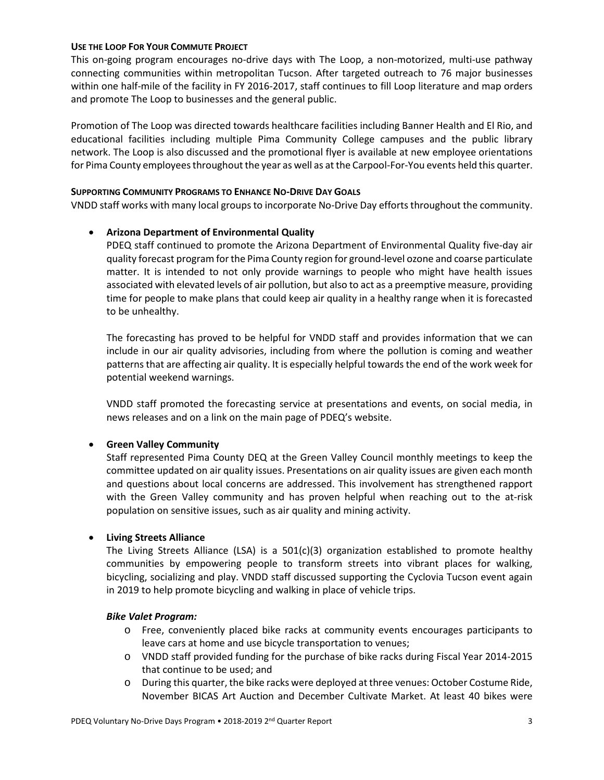#### **USE THE LOOP FOR YOUR COMMUTE PROJECT**

This on-going program encourages no-drive days with The Loop, a non-motorized, multi-use pathway connecting communities within metropolitan Tucson. After targeted outreach to 76 major businesses within one half-mile of the facility in FY 2016-2017, staff continues to fill Loop literature and map orders and promote The Loop to businesses and the general public.

Promotion of The Loop was directed towards healthcare facilities including Banner Health and El Rio, and educational facilities including multiple Pima Community College campuses and the public library network. The Loop is also discussed and the promotional flyer is available at new employee orientations for Pima County employees throughout the year as well as at the Carpool-For-You events held this quarter.

### **SUPPORTING COMMUNITY PROGRAMS TO ENHANCE NO-DRIVE DAY GOALS**

VNDD staff works with many local groups to incorporate No-Drive Day efforts throughout the community.

## • **Arizona Department of Environmental Quality**

PDEQ staff continued to promote the Arizona Department of Environmental Quality five-day air quality forecast program for the Pima County region for ground-level ozone and coarse particulate matter. It is intended to not only provide warnings to people who might have health issues associated with elevated levels of air pollution, but also to act as a preemptive measure, providing time for people to make plans that could keep air quality in a healthy range when it is forecasted to be unhealthy.

The forecasting has proved to be helpful for VNDD staff and provides information that we can include in our air quality advisories, including from where the pollution is coming and weather patterns that are affecting air quality. It is especially helpful towards the end of the work week for potential weekend warnings.

VNDD staff promoted the forecasting service at presentations and events, on social media, in news releases and on a link on the main page of PDEQ's website.

## • **Green Valley Community**

Staff represented Pima County DEQ at the Green Valley Council monthly meetings to keep the committee updated on air quality issues. Presentations on air quality issues are given each month and questions about local concerns are addressed. This involvement has strengthened rapport with the Green Valley community and has proven helpful when reaching out to the at-risk population on sensitive issues, such as air quality and mining activity.

## • **Living Streets Alliance**

The Living Streets Alliance (LSA) is a  $501(c)(3)$  organization established to promote healthy communities by empowering people to transform streets into vibrant places for walking, bicycling, socializing and play. VNDD staff discussed supporting the Cyclovia Tucson event again in 2019 to help promote bicycling and walking in place of vehicle trips.

## *Bike Valet Program:*

- o Free, conveniently placed bike racks at community events encourages participants to leave cars at home and use bicycle transportation to venues;
- o VNDD staff provided funding for the purchase of bike racks during Fiscal Year 2014-2015 that continue to be used; and
- o During this quarter, the bike racks were deployed at three venues: October Costume Ride, November BICAS Art Auction and December Cultivate Market. At least 40 bikes were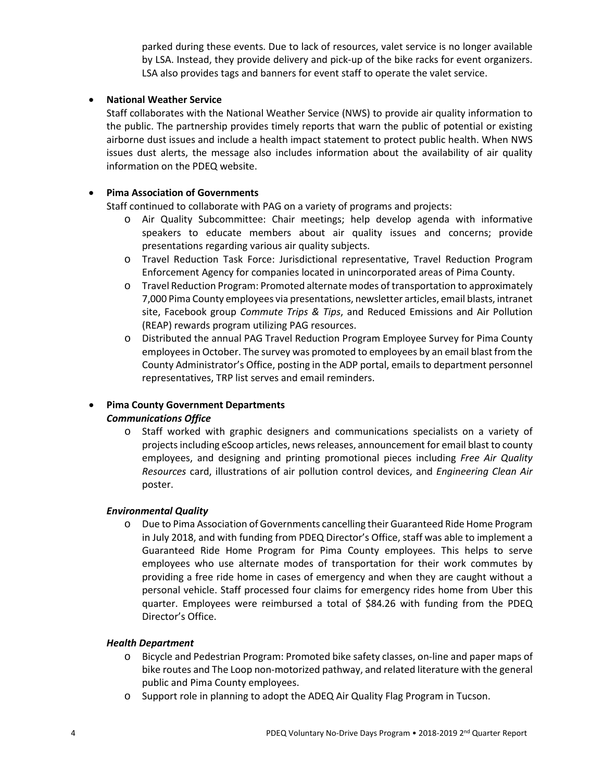parked during these events. Due to lack of resources, valet service is no longer available by LSA. Instead, they provide delivery and pick-up of the bike racks for event organizers. LSA also provides tags and banners for event staff to operate the valet service.

## • **National Weather Service**

Staff collaborates with the National Weather Service (NWS) to provide air quality information to the public. The partnership provides timely reports that warn the public of potential or existing airborne dust issues and include a health impact statement to protect public health. When NWS issues dust alerts, the message also includes information about the availability of air quality information on the PDEQ website.

## • **Pima Association of Governments**

Staff continued to collaborate with PAG on a variety of programs and projects:

- o Air Quality Subcommittee: Chair meetings; help develop agenda with informative speakers to educate members about air quality issues and concerns; provide presentations regarding various air quality subjects.
- o Travel Reduction Task Force: Jurisdictional representative, Travel Reduction Program Enforcement Agency for companies located in unincorporated areas of Pima County.
- o Travel Reduction Program: Promoted alternate modes of transportation to approximately 7,000 Pima County employees via presentations, newsletter articles, email blasts, intranet site, Facebook group *Commute Trips & Tips*, and Reduced Emissions and Air Pollution (REAP) rewards program utilizing PAG resources.
- o Distributed the annual PAG Travel Reduction Program Employee Survey for Pima County employees in October. The survey was promoted to employees by an email blast from the County Administrator's Office, posting in the ADP portal, emails to department personnel representatives, TRP list serves and email reminders.

# • **Pima County Government Departments**

# *Communications Office*

o Staff worked with graphic designers and communications specialists on a variety of projects including eScoop articles, news releases, announcement for email blast to county employees, and designing and printing promotional pieces including *Free Air Quality Resources* card, illustrations of air pollution control devices, and *Engineering Clean Air* poster.

## *Environmental Quality*

o Due to Pima Association of Governments cancelling their Guaranteed Ride Home Program in July 2018, and with funding from PDEQ Director's Office, staff was able to implement a Guaranteed Ride Home Program for Pima County employees. This helps to serve employees who use alternate modes of transportation for their work commutes by providing a free ride home in cases of emergency and when they are caught without a personal vehicle. Staff processed four claims for emergency rides home from Uber this quarter. Employees were reimbursed a total of \$84.26 with funding from the PDEQ Director's Office.

## *Health Department*

- o Bicycle and Pedestrian Program: Promoted bike safety classes, on-line and paper maps of bike routes and The Loop non-motorized pathway, and related literature with the general public and Pima County employees.
- o Support role in planning to adopt the ADEQ Air Quality Flag Program in Tucson.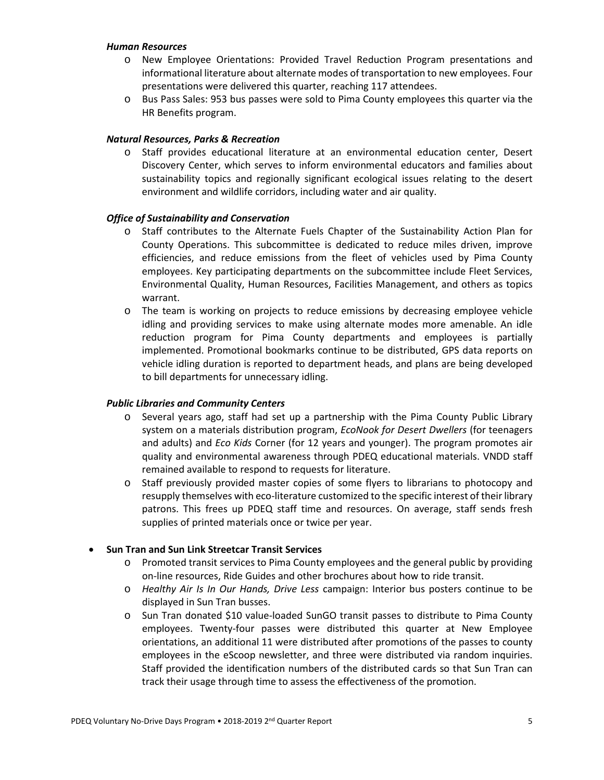#### *Human Resources*

- o New Employee Orientations: Provided Travel Reduction Program presentations and informational literature about alternate modes of transportation to new employees. Four presentations were delivered this quarter, reaching 117 attendees.
- o Bus Pass Sales: 953 bus passes were sold to Pima County employees this quarter via the HR Benefits program.

### *Natural Resources, Parks & Recreation*

o Staff provides educational literature at an environmental education center, Desert Discovery Center, which serves to inform environmental educators and families about sustainability topics and regionally significant ecological issues relating to the desert environment and wildlife corridors, including water and air quality.

#### *Office of Sustainability and Conservation*

- o Staff contributes to the Alternate Fuels Chapter of the Sustainability Action Plan for County Operations. This subcommittee is dedicated to reduce miles driven, improve efficiencies, and reduce emissions from the fleet of vehicles used by Pima County employees. Key participating departments on the subcommittee include Fleet Services, Environmental Quality, Human Resources, Facilities Management, and others as topics warrant.
- o The team is working on projects to reduce emissions by decreasing employee vehicle idling and providing services to make using alternate modes more amenable. An idle reduction program for Pima County departments and employees is partially implemented. Promotional bookmarks continue to be distributed, GPS data reports on vehicle idling duration is reported to department heads, and plans are being developed to bill departments for unnecessary idling.

## *Public Libraries and Community Centers*

- o Several years ago, staff had set up a partnership with the Pima County Public Library system on a materials distribution program, *EcoNook for Desert Dwellers* (for teenagers and adults) and *Eco Kids* Corner (for 12 years and younger). The program promotes air quality and environmental awareness through PDEQ educational materials. VNDD staff remained available to respond to requests for literature.
- o Staff previously provided master copies of some flyers to librarians to photocopy and resupply themselves with eco-literature customized to the specific interest of their library patrons. This frees up PDEQ staff time and resources. On average, staff sends fresh supplies of printed materials once or twice per year.

## • **Sun Tran and Sun Link Streetcar Transit Services**

- o Promoted transit services to Pima County employees and the general public by providing on-line resources, Ride Guides and other brochures about how to ride transit.
- o *Healthy Air Is In Our Hands, Drive Less* campaign: Interior bus posters continue to be displayed in Sun Tran busses.
- o Sun Tran donated \$10 value-loaded SunGO transit passes to distribute to Pima County employees. Twenty-four passes were distributed this quarter at New Employee orientations, an additional 11 were distributed after promotions of the passes to county employees in the eScoop newsletter, and three were distributed via random inquiries. Staff provided the identification numbers of the distributed cards so that Sun Tran can track their usage through time to assess the effectiveness of the promotion.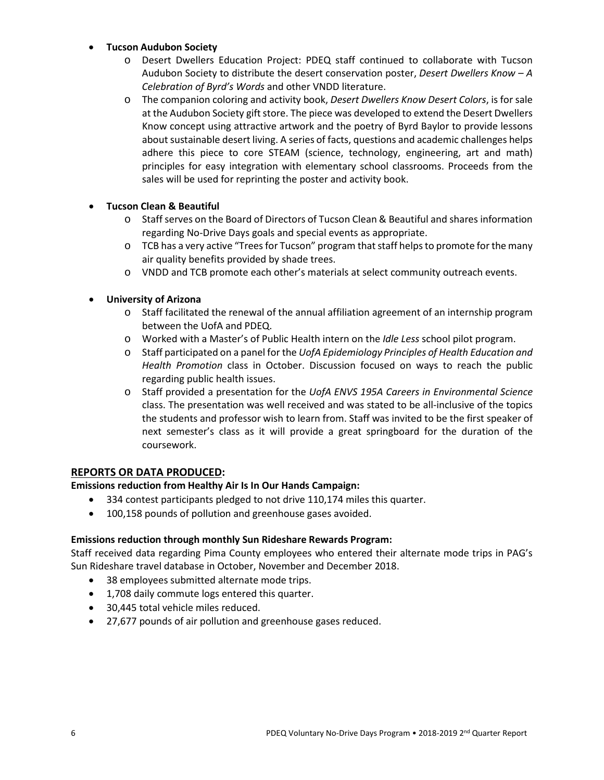## • **Tucson Audubon Society**

- o Desert Dwellers Education Project: PDEQ staff continued to collaborate with Tucson Audubon Society to distribute the desert conservation poster, *Desert Dwellers Know – A Celebration of Byrd's Words* and other VNDD literature.
- o The companion coloring and activity book, *Desert Dwellers Know Desert Colors*, is for sale at the Audubon Society gift store. The piece was developed to extend the Desert Dwellers Know concept using attractive artwork and the poetry of Byrd Baylor to provide lessons about sustainable desert living. A series of facts, questions and academic challenges helps adhere this piece to core STEAM (science, technology, engineering, art and math) principles for easy integration with elementary school classrooms. Proceeds from the sales will be used for reprinting the poster and activity book.

# • **Tucson Clean & Beautiful**

- o Staff serves on the Board of Directors of Tucson Clean & Beautiful and shares information regarding No-Drive Days goals and special events as appropriate.
- $\circ$  TCB has a very active "Trees for Tucson" program that staff helps to promote for the many air quality benefits provided by shade trees.
- o VNDD and TCB promote each other's materials at select community outreach events.

# • **University of Arizona**

- o Staff facilitated the renewal of the annual affiliation agreement of an internship program between the UofA and PDEQ.
- o Worked with a Master's of Public Health intern on the *Idle Less* school pilot program.
- o Staff participated on a panel for the *UofA Epidemiology Principles of Health Education and Health Promotion* class in October. Discussion focused on ways to reach the public regarding public health issues.
- o Staff provided a presentation for the *UofA ENVS 195A Careers in Environmental Science* class. The presentation was well received and was stated to be all-inclusive of the topics the students and professor wish to learn from. Staff was invited to be the first speaker of next semester's class as it will provide a great springboard for the duration of the coursework.

# **REPORTS OR DATA PRODUCED:**

# **Emissions reduction from Healthy Air Is In Our Hands Campaign:**

- 334 contest participants pledged to not drive 110,174 miles this quarter.
- 100,158 pounds of pollution and greenhouse gases avoided.

# **Emissions reduction through monthly Sun Rideshare Rewards Program:**

Staff received data regarding Pima County employees who entered their alternate mode trips in PAG's Sun Rideshare travel database in October, November and December 2018.

- 38 employees submitted alternate mode trips.
- 1,708 daily commute logs entered this quarter.
- 30,445 total vehicle miles reduced.
- 27,677 pounds of air pollution and greenhouse gases reduced.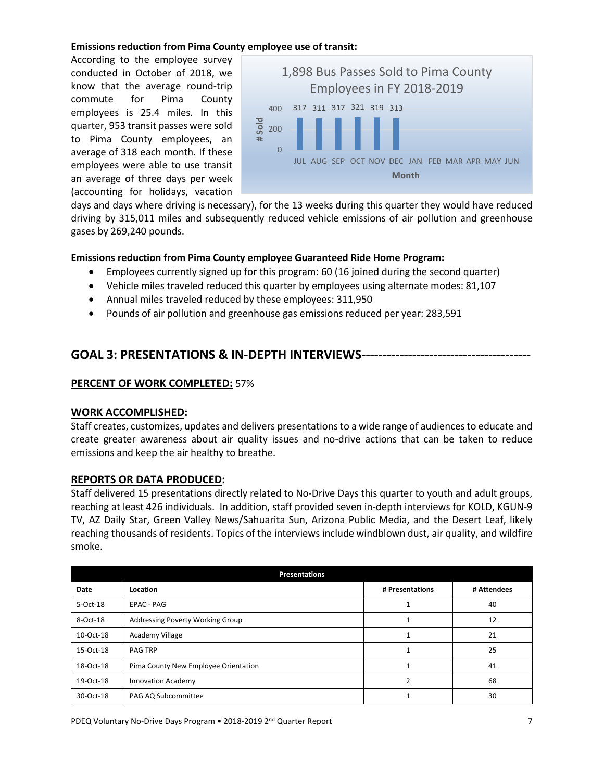### **Emissions reduction from Pima County employee use of transit:**

According to the employee survey conducted in October of 2018, we know that the average round-trip commute for Pima County employees is 25.4 miles. In this quarter, 953 transit passes were sold to Pima County employees, an average of 318 each month. If these employees were able to use transit an average of three days per week (accounting for holidays, vacation



days and days where driving is necessary), for the 13 weeks during this quarter they would have reduced driving by 315,011 miles and subsequently reduced vehicle emissions of air pollution and greenhouse gases by 269,240 pounds.

#### **Emissions reduction from Pima County employee Guaranteed Ride Home Program:**

- Employees currently signed up for this program: 60 (16 joined during the second quarter)
- Vehicle miles traveled reduced this quarter by employees using alternate modes: 81,107
- Annual miles traveled reduced by these employees: 311,950
- Pounds of air pollution and greenhouse gas emissions reduced per year: 283,591

# **GOAL 3: PRESENTATIONS & IN-DEPTH INTERVIEWS----------------------------------------**

#### **PERCENT OF WORK COMPLETED:** 57%

#### **WORK ACCOMPLISHED:**

Staff creates, customizes, updates and delivers presentations to a wide range of audiences to educate and create greater awareness about air quality issues and no-drive actions that can be taken to reduce emissions and keep the air healthy to breathe.

#### **REPORTS OR DATA PRODUCED:**

Staff delivered 15 presentations directly related to No-Drive Days this quarter to youth and adult groups, reaching at least 426 individuals. In addition, staff provided seven in-depth interviews for KOLD, KGUN-9 TV, AZ Daily Star, Green Valley News/Sahuarita Sun, Arizona Public Media, and the Desert Leaf, likely reaching thousands of residents. Topics of the interviews include windblown dust, air quality, and wildfire smoke.

| <b>Presentations</b> |                                      |                 |             |  |  |
|----------------------|--------------------------------------|-----------------|-------------|--|--|
| Date                 | Location                             | # Presentations | # Attendees |  |  |
| 5-Oct-18             | EPAC - PAG                           |                 | 40          |  |  |
| 8-Oct-18             | Addressing Poverty Working Group     |                 | 12          |  |  |
| 10-Oct-18            | Academy Village                      |                 | 21          |  |  |
| 15-Oct-18            | <b>PAG TRP</b>                       |                 | 25          |  |  |
| 18-Oct-18            | Pima County New Employee Orientation |                 | 41          |  |  |
| 19-Oct-18            | <b>Innovation Academy</b>            | 2               | 68          |  |  |
| 30-Oct-18            | PAG AQ Subcommittee                  |                 | 30          |  |  |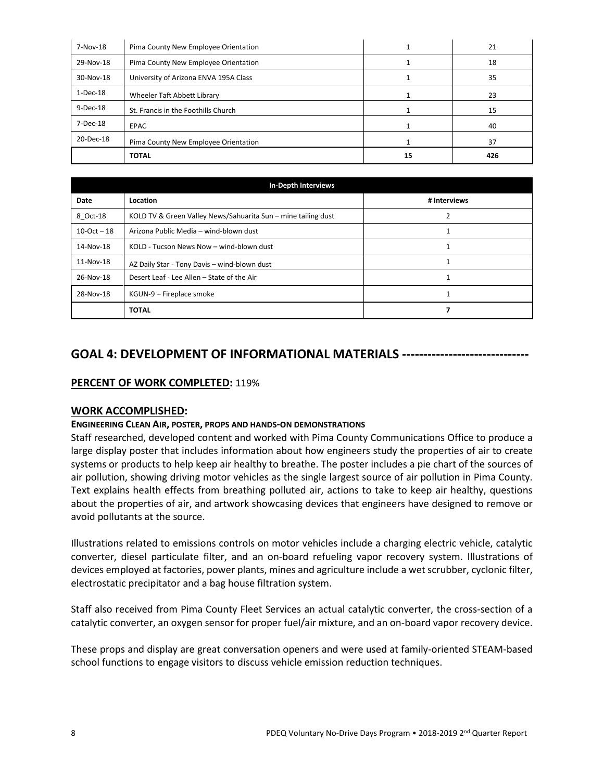| 7-Nov-18   | Pima County New Employee Orientation  |    | 21  |
|------------|---------------------------------------|----|-----|
| 29-Nov-18  | Pima County New Employee Orientation  |    | 18  |
| 30-Nov-18  | University of Arizona ENVA 195A Class |    | 35  |
| $1-Dec-18$ | Wheeler Taft Abbett Library           |    | 23  |
| 9-Dec-18   | St. Francis in the Foothills Church   |    | 15  |
| 7-Dec-18   | <b>EPAC</b>                           |    | 40  |
| 20-Dec-18  | Pima County New Employee Orientation  |    | 37  |
|            | <b>TOTAL</b>                          | 15 | 426 |

| <b>In-Depth Interviews</b> |                                                               |              |  |  |
|----------------------------|---------------------------------------------------------------|--------------|--|--|
| Date                       | Location                                                      | # Interviews |  |  |
| 8 Oct-18                   | KOLD TV & Green Valley News/Sahuarita Sun - mine tailing dust |              |  |  |
| $10-Oct - 18$              | Arizona Public Media - wind-blown dust                        |              |  |  |
| 14-Nov-18                  | KOLD - Tucson News Now - wind-blown dust                      |              |  |  |
| 11-Nov-18                  | AZ Daily Star - Tony Davis - wind-blown dust                  |              |  |  |
| 26-Nov-18                  | Desert Leaf - Lee Allen - State of the Air                    |              |  |  |
| 28-Nov-18                  | KGUN-9 – Fireplace smoke                                      |              |  |  |
|                            | <b>TOTAL</b>                                                  |              |  |  |

# **GOAL 4: DEVELOPMENT OF INFORMATIONAL MATERIALS ------------------------------**

## **PERCENT OF WORK COMPLETED:** 119%

#### **WORK ACCOMPLISHED:**

#### **ENGINEERING CLEAN AIR, POSTER, PROPS AND HANDS-ON DEMONSTRATIONS**

Staff researched, developed content and worked with Pima County Communications Office to produce a large display poster that includes information about how engineers study the properties of air to create systems or products to help keep air healthy to breathe. The poster includes a pie chart of the sources of air pollution, showing driving motor vehicles as the single largest source of air pollution in Pima County. Text explains health effects from breathing polluted air, actions to take to keep air healthy, questions about the properties of air, and artwork showcasing devices that engineers have designed to remove or avoid pollutants at the source.

Illustrations related to emissions controls on motor vehicles include a charging electric vehicle, catalytic converter, diesel particulate filter, and an on-board refueling vapor recovery system. Illustrations of devices employed at factories, power plants, mines and agriculture include a wet scrubber, cyclonic filter, electrostatic precipitator and a bag house filtration system.

Staff also received from Pima County Fleet Services an actual catalytic converter, the cross-section of a catalytic converter, an oxygen sensor for proper fuel/air mixture, and an on-board vapor recovery device.

These props and display are great conversation openers and were used at family-oriented STEAM-based school functions to engage visitors to discuss vehicle emission reduction techniques.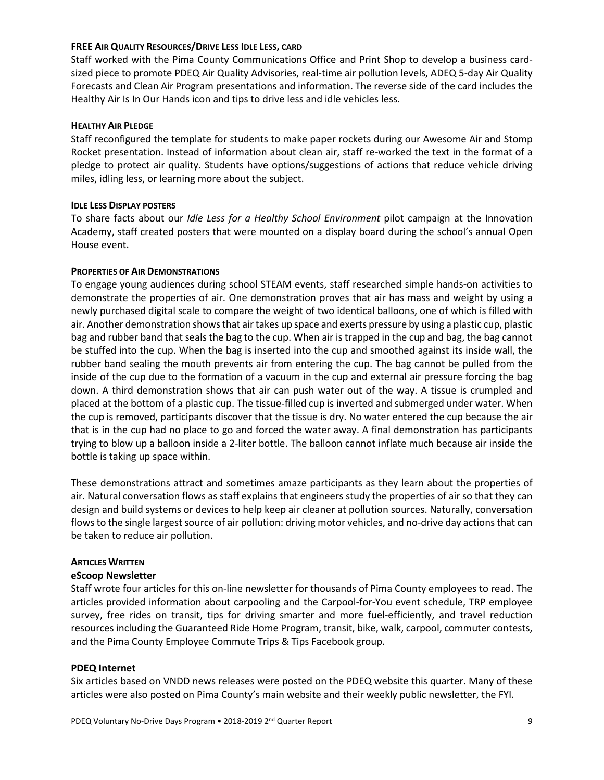#### **FREE AIR QUALITY RESOURCES/DRIVE LESS IDLE LESS, CARD**

Staff worked with the Pima County Communications Office and Print Shop to develop a business cardsized piece to promote PDEQ Air Quality Advisories, real-time air pollution levels, ADEQ 5-day Air Quality Forecasts and Clean Air Program presentations and information. The reverse side of the card includes the Healthy Air Is In Our Hands icon and tips to drive less and idle vehicles less.

#### **HEALTHY AIR PLEDGE**

Staff reconfigured the template for students to make paper rockets during our Awesome Air and Stomp Rocket presentation. Instead of information about clean air, staff re-worked the text in the format of a pledge to protect air quality. Students have options/suggestions of actions that reduce vehicle driving miles, idling less, or learning more about the subject.

#### **IDLE LESS DISPLAY POSTERS**

To share facts about our *Idle Less for a Healthy School Environment* pilot campaign at the Innovation Academy, staff created posters that were mounted on a display board during the school's annual Open House event.

#### **PROPERTIES OF AIR DEMONSTRATIONS**

To engage young audiences during school STEAM events, staff researched simple hands-on activities to demonstrate the properties of air. One demonstration proves that air has mass and weight by using a newly purchased digital scale to compare the weight of two identical balloons, one of which is filled with air. Another demonstration shows that air takes up space and exerts pressure by using a plastic cup, plastic bag and rubber band that seals the bag to the cup. When air is trapped in the cup and bag, the bag cannot be stuffed into the cup. When the bag is inserted into the cup and smoothed against its inside wall, the rubber band sealing the mouth prevents air from entering the cup. The bag cannot be pulled from the inside of the cup due to the formation of a vacuum in the cup and external air pressure forcing the bag down. A third demonstration shows that air can push water out of the way. A tissue is crumpled and placed at the bottom of a plastic cup. The tissue-filled cup is inverted and submerged under water. When the cup is removed, participants discover that the tissue is dry. No water entered the cup because the air that is in the cup had no place to go and forced the water away. A final demonstration has participants trying to blow up a balloon inside a 2-liter bottle. The balloon cannot inflate much because air inside the bottle is taking up space within.

These demonstrations attract and sometimes amaze participants as they learn about the properties of air. Natural conversation flows as staff explains that engineers study the properties of air so that they can design and build systems or devices to help keep air cleaner at pollution sources. Naturally, conversation flows to the single largest source of air pollution: driving motor vehicles, and no-drive day actions that can be taken to reduce air pollution.

#### **ARTICLES WRITTEN**

#### **eScoop Newsletter**

Staff wrote four articles for this on-line newsletter for thousands of Pima County employees to read. The articles provided information about carpooling and the Carpool-for-You event schedule, TRP employee survey, free rides on transit, tips for driving smarter and more fuel-efficiently, and travel reduction resources including the Guaranteed Ride Home Program, transit, bike, walk, carpool, commuter contests, and the Pima County Employee Commute Trips & Tips Facebook group.

## **PDEQ Internet**

Six articles based on VNDD news releases were posted on the PDEQ website this quarter. Many of these articles were also posted on Pima County's main website and their weekly public newsletter, the FYI.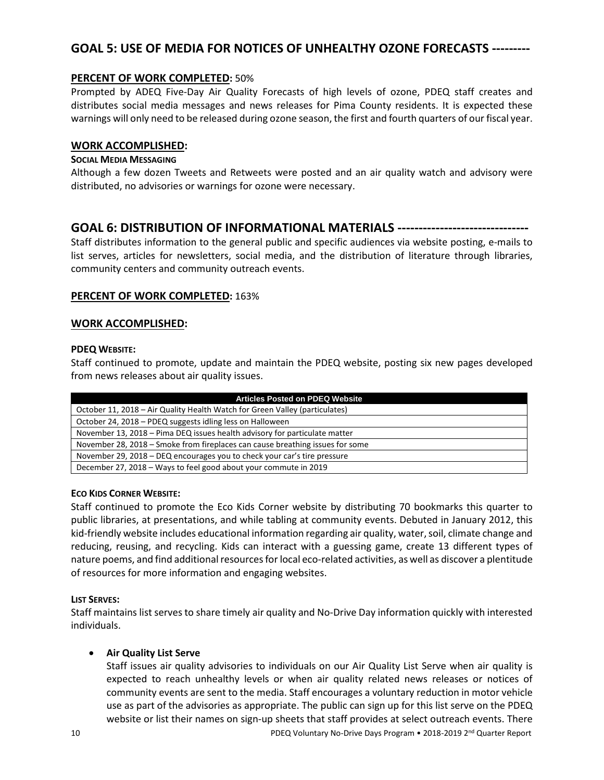# **GOAL 5: USE OF MEDIA FOR NOTICES OF UNHEALTHY OZONE FORECASTS ---------**

## **PERCENT OF WORK COMPLETED:** 50%

Prompted by ADEQ Five-Day Air Quality Forecasts of high levels of ozone, PDEQ staff creates and distributes social media messages and news releases for Pima County residents. It is expected these warnings will only need to be released during ozone season, the first and fourth quarters of our fiscal year.

## **WORK ACCOMPLISHED:**

## **SOCIAL MEDIA MESSAGING**

Although a few dozen Tweets and Retweets were posted and an air quality watch and advisory were distributed, no advisories or warnings for ozone were necessary.

# **GOAL 6: DISTRIBUTION OF INFORMATIONAL MATERIALS -------------------------------**

Staff distributes information to the general public and specific audiences via website posting, e-mails to list serves, articles for newsletters, social media, and the distribution of literature through libraries, community centers and community outreach events.

#### **PERCENT OF WORK COMPLETED:** 163%

#### **WORK ACCOMPLISHED:**

#### **PDEQ WEBSITE:**

Staff continued to promote, update and maintain the PDEQ website, posting six new pages developed from news releases about air quality issues.

| <b>Articles Posted on PDEQ Website</b>                                        |
|-------------------------------------------------------------------------------|
| October 11, 2018 – Air Quality Health Watch for Green Valley (particulates)   |
| October 24, 2018 - PDEQ suggests idling less on Halloween                     |
| November 13, 2018 – Pima DEQ issues health advisory for particulate matter    |
| November 28, 2018 – Smoke from fireplaces can cause breathing issues for some |
| November 29, 2018 – DEQ encourages you to check your car's tire pressure      |
| December 27, 2018 – Ways to feel good about your commute in 2019              |

#### **ECO KIDS CORNER WEBSITE:**

Staff continued to promote the Eco Kids Corner website by distributing 70 bookmarks this quarter to public libraries, at presentations, and while tabling at community events. Debuted in January 2012, this kid-friendly website includes educational information regarding air quality, water, soil, climate change and reducing, reusing, and recycling. Kids can interact with a guessing game, create 13 different types of nature poems, and find additional resources for local eco-related activities, as well as discover a plentitude of resources for more information and engaging websites.

## **LIST SERVES:**

Staff maintains list serves to share timely air quality and No-Drive Day information quickly with interested individuals.

## • **Air Quality List Serve**

10 PDEQ Voluntary No-Drive Days Program • 2018-2019 2nd Quarter Report Staff issues air quality advisories to individuals on our Air Quality List Serve when air quality is expected to reach unhealthy levels or when air quality related news releases or notices of community events are sent to the media. Staff encourages a voluntary reduction in motor vehicle use as part of the advisories as appropriate. The public can sign up for this list serve on the PDEQ website or list their names on sign-up sheets that staff provides at select outreach events. There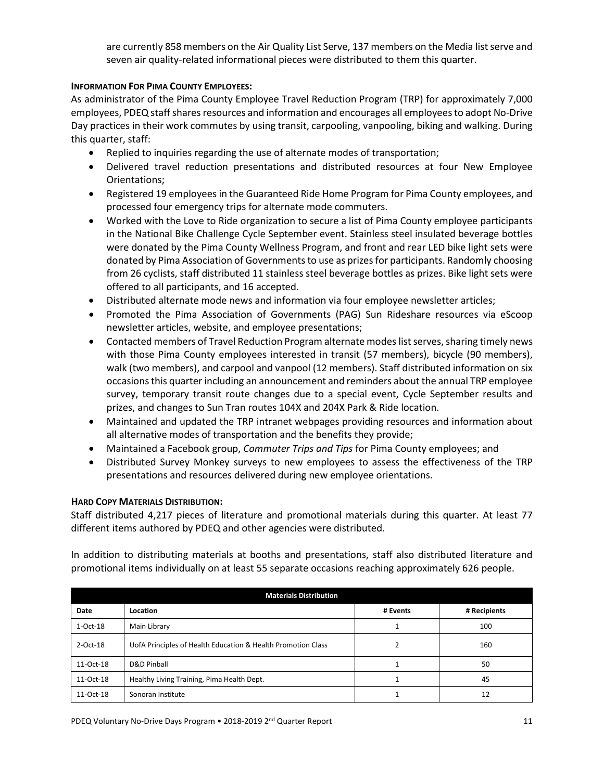are currently 858 members on the Air Quality List Serve, 137 members on the Media list serve and seven air quality-related informational pieces were distributed to them this quarter.

## **INFORMATION FOR PIMA COUNTY EMPLOYEES:**

As administrator of the Pima County Employee Travel Reduction Program (TRP) for approximately 7,000 employees, PDEQ staffshares resources and information and encourages all employees to adopt No-Drive Day practices in their work commutes by using transit, carpooling, vanpooling, biking and walking. During this quarter, staff:

- Replied to inquiries regarding the use of alternate modes of transportation;
- Delivered travel reduction presentations and distributed resources at four New Employee Orientations;
- Registered 19 employees in the Guaranteed Ride Home Program for Pima County employees, and processed four emergency trips for alternate mode commuters.
- Worked with the Love to Ride organization to secure a list of Pima County employee participants in the National Bike Challenge Cycle September event. Stainless steel insulated beverage bottles were donated by the Pima County Wellness Program, and front and rear LED bike light sets were donated by Pima Association of Governments to use as prizes for participants. Randomly choosing from 26 cyclists, staff distributed 11 stainless steel beverage bottles as prizes. Bike light sets were offered to all participants, and 16 accepted.
- Distributed alternate mode news and information via four employee newsletter articles;
- Promoted the Pima Association of Governments (PAG) Sun Rideshare resources via eScoop newsletter articles, website, and employee presentations;
- Contacted members of Travel Reduction Program alternate modes list serves, sharing timely news with those Pima County employees interested in transit (57 members), bicycle (90 members), walk (two members), and carpool and vanpool (12 members). Staff distributed information on six occasions this quarter including an announcement and reminders about the annual TRP employee survey, temporary transit route changes due to a special event, Cycle September results and prizes, and changes to Sun Tran routes 104X and 204X Park & Ride location.
- Maintained and updated the TRP intranet webpages providing resources and information about all alternative modes of transportation and the benefits they provide;
- Maintained a Facebook group, *Commuter Trips and Tips* for Pima County employees; and
- Distributed Survey Monkey surveys to new employees to assess the effectiveness of the TRP presentations and resources delivered during new employee orientations.

## **HARD COPY MATERIALS DISTRIBUTION:**

Staff distributed 4,217 pieces of literature and promotional materials during this quarter. At least 77 different items authored by PDEQ and other agencies were distributed.

In addition to distributing materials at booths and presentations, staff also distributed literature and promotional items individually on at least 55 separate occasions reaching approximately 626 people.

| <b>Materials Distribution</b> |                                                              |          |              |  |  |
|-------------------------------|--------------------------------------------------------------|----------|--------------|--|--|
| Date                          | Location                                                     | # Events | # Recipients |  |  |
| $1-Oct-18$                    | Main Library                                                 |          | 100          |  |  |
| 2-Oct-18                      | UofA Principles of Health Education & Health Promotion Class |          | 160          |  |  |
| 11-Oct-18                     | D&D Pinball                                                  |          | 50           |  |  |
| 11-Oct-18                     | Healthy Living Training, Pima Health Dept.                   |          | 45           |  |  |
| 11-Oct-18                     | Sonoran Institute                                            |          |              |  |  |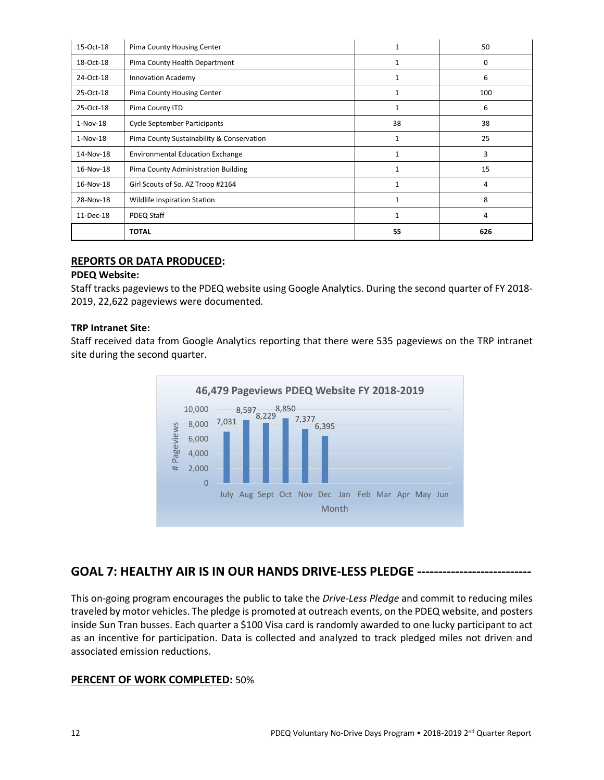| 15-Oct-18  | Pima County Housing Center                | 1            | 50  |
|------------|-------------------------------------------|--------------|-----|
| 18-Oct-18  | Pima County Health Department             |              | 0   |
| 24-Oct-18  | <b>Innovation Academy</b>                 | 1            | 6   |
| 25-Oct-18  | Pima County Housing Center                | $\mathbf{1}$ | 100 |
| 25-Oct-18  | Pima County ITD                           | $\mathbf{1}$ | 6   |
| $1-Nov-18$ | <b>Cycle September Participants</b>       | 38           | 38  |
| $1-Nov-18$ | Pima County Sustainability & Conservation | $\mathbf{1}$ | 25  |
| 14-Nov-18  | <b>Environmental Education Exchange</b>   |              | 3   |
| 16-Nov-18  | Pima County Administration Building       | 1            | 15  |
| 16-Nov-18  | Girl Scouts of So. AZ Troop #2164         | $\mathbf{1}$ | 4   |
| 28-Nov-18  | Wildlife Inspiration Station              | $\mathbf{1}$ | 8   |
| 11-Dec-18  | PDEQ Staff                                | $\mathbf{1}$ | 4   |
|            | <b>TOTAL</b>                              | 55           | 626 |

## **REPORTS OR DATA PRODUCED:**

## **PDEQ Website:**

Staff tracks pageviews to the PDEQ website using Google Analytics. During the second quarter of FY 2018- 2019, 22,622 pageviews were documented.

#### **TRP Intranet Site:**

Staff received data from Google Analytics reporting that there were 535 pageviews on the TRP intranet site during the second quarter.



# **GOAL 7: HEALTHY AIR IS IN OUR HANDS DRIVE-LESS PLEDGE ---------------------------**

This on-going program encourages the public to take the *Drive-Less Pledge* and commit to reducing miles traveled by motor vehicles. The pledge is promoted at outreach events, on the PDEQ website, and posters inside Sun Tran busses. Each quarter a \$100 Visa card is randomly awarded to one lucky participant to act as an incentive for participation. Data is collected and analyzed to track pledged miles not driven and associated emission reductions.

## **PERCENT OF WORK COMPLETED:** 50%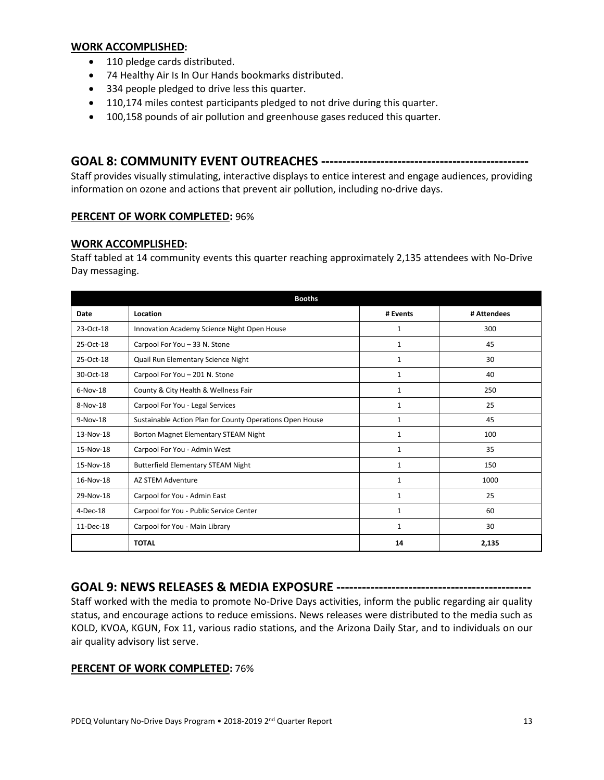#### **WORK ACCOMPLISHED:**

- 110 pledge cards distributed.
- 74 Healthy Air Is In Our Hands bookmarks distributed.
- 334 people pledged to drive less this quarter.
- 110,174 miles contest participants pledged to not drive during this quarter.
- 100,158 pounds of air pollution and greenhouse gases reduced this quarter.

# **GOAL 8: COMMUNITY EVENT OUTREACHES -------------------------------------------------**

Staff provides visually stimulating, interactive displays to entice interest and engage audiences, providing information on ozone and actions that prevent air pollution, including no-drive days.

## **PERCENT OF WORK COMPLETED:** 96%

## **WORK ACCOMPLISHED:**

Staff tabled at 14 community events this quarter reaching approximately 2,135 attendees with No-Drive Day messaging.

| <b>Booths</b> |                                                          |              |             |  |  |
|---------------|----------------------------------------------------------|--------------|-------------|--|--|
| Date          | Location                                                 | # Events     | # Attendees |  |  |
| 23-Oct-18     | Innovation Academy Science Night Open House              | 1            | 300         |  |  |
| 25-Oct-18     | Carpool For You - 33 N. Stone                            | 1            | 45          |  |  |
| 25-Oct-18     | Quail Run Elementary Science Night                       | 1            | 30          |  |  |
| 30-Oct-18     | Carpool For You - 201 N. Stone                           | $\mathbf{1}$ | 40          |  |  |
| $6-Nov-18$    | County & City Health & Wellness Fair                     | 1            | 250         |  |  |
| 8-Nov-18      | Carpool For You - Legal Services                         | $\mathbf{1}$ | 25          |  |  |
| 9-Nov-18      | Sustainable Action Plan for County Operations Open House | 1            | 45          |  |  |
| 13-Nov-18     | Borton Magnet Elementary STEAM Night                     | 1            | 100         |  |  |
| 15-Nov-18     | Carpool For You - Admin West                             | 1            | 35          |  |  |
| 15-Nov-18     | <b>Butterfield Elementary STEAM Night</b>                | $\mathbf{1}$ | 150         |  |  |
| 16-Nov-18     | AZ STEM Adventure                                        | $\mathbf{1}$ | 1000        |  |  |
| 29-Nov-18     | Carpool for You - Admin East                             | $\mathbf{1}$ | 25          |  |  |
| 4-Dec-18      | Carpool for You - Public Service Center                  | 1            | 60          |  |  |
| 11-Dec-18     | Carpool for You - Main Library                           | 1            | 30          |  |  |
|               | <b>TOTAL</b>                                             | 14           | 2,135       |  |  |

# **GOAL 9: NEWS RELEASES & MEDIA EXPOSURE ----------------------------------------------**

Staff worked with the media to promote No-Drive Days activities, inform the public regarding air quality status, and encourage actions to reduce emissions. News releases were distributed to the media such as KOLD, KVOA, KGUN, Fox 11, various radio stations, and the Arizona Daily Star, and to individuals on our air quality advisory list serve.

## **PERCENT OF WORK COMPLETED:** 76%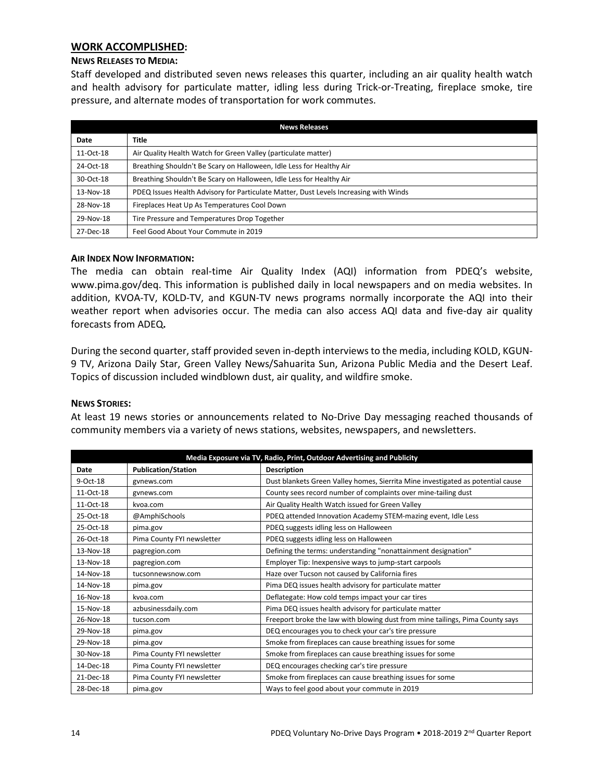#### **WORK ACCOMPLISHED:**

#### **NEWS RELEASES TO MEDIA:**

Staff developed and distributed seven news releases this quarter, including an air quality health watch and health advisory for particulate matter, idling less during Trick-or-Treating, fireplace smoke, tire pressure, and alternate modes of transportation for work commutes.

| <b>News Releases</b> |                                                                                       |  |  |
|----------------------|---------------------------------------------------------------------------------------|--|--|
| Date                 | <b>Title</b>                                                                          |  |  |
| 11-Oct-18            | Air Quality Health Watch for Green Valley (particulate matter)                        |  |  |
| 24-Oct-18            | Breathing Shouldn't Be Scary on Halloween, Idle Less for Healthy Air                  |  |  |
| 30-Oct-18            | Breathing Shouldn't Be Scary on Halloween, Idle Less for Healthy Air                  |  |  |
| 13-Nov-18            | PDEQ Issues Health Advisory for Particulate Matter, Dust Levels Increasing with Winds |  |  |
| 28-Nov-18            | Fireplaces Heat Up As Temperatures Cool Down                                          |  |  |
| 29-Nov-18            | Tire Pressure and Temperatures Drop Together                                          |  |  |
| 27-Dec-18            | Feel Good About Your Commute in 2019                                                  |  |  |

#### **AIR INDEX NOW INFORMATION:**

The media can obtain real-time Air Quality Index (AQI) information from PDEQ's website, [www.pima.gov/deq.](http://www.pima.gov/deq) This information is published daily in local newspapers and on media websites. In addition, KVOA-TV, KOLD-TV, and KGUN-TV news programs normally incorporate the AQI into their weather report when advisories occur. The media can also access AQI data and five-day air quality forecasts from ADEQ**.**

During the second quarter, staff provided seven in-depth interviews to the media, including KOLD, KGUN-9 TV, Arizona Daily Star, Green Valley News/Sahuarita Sun, Arizona Public Media and the Desert Leaf. Topics of discussion included windblown dust, air quality, and wildfire smoke.

#### **NEWS STORIES:**

At least 19 news stories or announcements related to No-Drive Day messaging reached thousands of community members via a variety of news stations, websites, newspapers, and newsletters.

| Media Exposure via TV, Radio, Print, Outdoor Advertising and Publicity |                            |                                                                                 |  |  |
|------------------------------------------------------------------------|----------------------------|---------------------------------------------------------------------------------|--|--|
| Date                                                                   | <b>Publication/Station</b> | <b>Description</b>                                                              |  |  |
| 9-Oct-18                                                               | gynews.com                 | Dust blankets Green Valley homes, Sierrita Mine investigated as potential cause |  |  |
| 11-Oct-18                                                              | gynews.com                 | County sees record number of complaints over mine-tailing dust                  |  |  |
| 11-Oct-18                                                              | kvoa.com                   | Air Quality Health Watch issued for Green Valley                                |  |  |
| 25-Oct-18                                                              | @AmphiSchools              | PDEQ attended Innovation Academy STEM-mazing event, Idle Less                   |  |  |
| 25-Oct-18                                                              | pima.gov                   | PDEQ suggests idling less on Halloween                                          |  |  |
| 26-Oct-18                                                              | Pima County FYI newsletter | PDEQ suggests idling less on Halloween                                          |  |  |
| 13-Nov-18                                                              | pagregion.com              | Defining the terms: understanding "nonattainment designation"                   |  |  |
| 13-Nov-18                                                              | pagregion.com              | Employer Tip: Inexpensive ways to jump-start carpools                           |  |  |
| 14-Nov-18                                                              | tucsonnewsnow.com          | Haze over Tucson not caused by California fires                                 |  |  |
| 14-Nov-18                                                              | pima.gov                   | Pima DEQ issues health advisory for particulate matter                          |  |  |
| 16-Nov-18                                                              | kvoa.com                   | Deflategate: How cold temps impact your car tires                               |  |  |
| 15-Nov-18                                                              | azbusinessdaily.com        | Pima DEQ issues health advisory for particulate matter                          |  |  |
| 26-Nov-18                                                              | tucson.com                 | Freeport broke the law with blowing dust from mine tailings, Pima County says   |  |  |
| 29-Nov-18                                                              | pima.gov                   | DEQ encourages you to check your car's tire pressure                            |  |  |
| 29-Nov-18                                                              | pima.gov                   | Smoke from fireplaces can cause breathing issues for some                       |  |  |
| 30-Nov-18                                                              | Pima County FYI newsletter | Smoke from fireplaces can cause breathing issues for some                       |  |  |
| 14-Dec-18                                                              | Pima County FYI newsletter | DEQ encourages checking car's tire pressure                                     |  |  |
| 21-Dec-18                                                              | Pima County FYI newsletter | Smoke from fireplaces can cause breathing issues for some                       |  |  |
| 28-Dec-18                                                              | pima.gov                   | Ways to feel good about your commute in 2019                                    |  |  |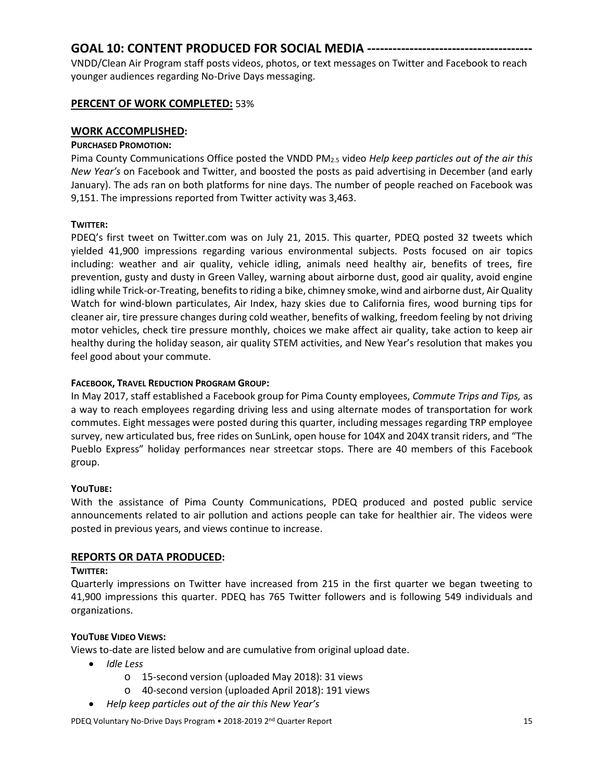# **GOAL 10: CONTENT PRODUCED FOR SOCIAL MEDIA ---------------------------------------**

VNDD/Clean Air Program staff posts videos, photos, or text messages on Twitter and Facebook to reach younger audiences regarding No-Drive Days messaging.

# **PERCENT OF WORK COMPLETED:** 53%

## **WORK ACCOMPLISHED:**

## **PURCHASED PROMOTION:**

Pima County Communications Office posted the VNDD PM2.5 video *Help keep particles out of the air this New Year's* on Facebook and Twitter, and boosted the posts as paid advertising in December (and early January). The ads ran on both platforms for nine days. The number of people reached on Facebook was 9,151. The impressions reported from Twitter activity was 3,463.

## **TWITTER:**

PDEQ's first tweet on Twitter.com was on July 21, 2015. This quarter, PDEQ posted 32 tweets which yielded 41,900 impressions regarding various environmental subjects. Posts focused on air topics including: weather and air quality, vehicle idling, animals need healthy air, benefits of trees, fire prevention, gusty and dusty in Green Valley, warning about airborne dust, good air quality, avoid engine idling while Trick-or-Treating, benefits to riding a bike, chimney smoke, wind and airborne dust, Air Quality Watch for wind-blown particulates, Air Index, hazy skies due to California fires, wood burning tips for cleaner air, tire pressure changes during cold weather, benefits of walking, freedom feeling by not driving motor vehicles, check tire pressure monthly, choices we make affect air quality, take action to keep air healthy during the holiday season, air quality STEM activities, and New Year's resolution that makes you feel good about your commute.

## **FACEBOOK, TRAVEL REDUCTION PROGRAM GROUP:**

In May 2017, staff established a Facebook group for Pima County employees, *Commute Trips and Tips,* as a way to reach employees regarding driving less and using alternate modes of transportation for work commutes. Eight messages were posted during this quarter, including messages regarding TRP employee survey, new articulated bus, free rides on SunLink, open house for 104X and 204X transit riders, and "The Pueblo Express" holiday performances near streetcar stops. There are 40 members of this Facebook group.

## **YOUTUBE:**

With the assistance of Pima County Communications, PDEQ produced and posted public service announcements related to air pollution and actions people can take for healthier air. The videos were posted in previous years, and views continue to increase.

# **REPORTS OR DATA PRODUCED:**

## **TWITTER:**

Quarterly impressions on Twitter have increased from 215 in the first quarter we began tweeting to 41,900 impressions this quarter. PDEQ has 765 Twitter followers and is following 549 individuals and organizations.

## **YOUTUBE VIDEO VIEWS:**

Views to-date are listed below and are cumulative from original upload date.

- *Idle Less*
	- o 15-second version (uploaded May 2018): 31 views
	- o 40-second version (uploaded April 2018): 191 views
- *Help keep particles out of the air this New Year's*

PDEQ Voluntary No-Drive Days Program • 2018-2019 2<sup>nd</sup> Quarter Report 15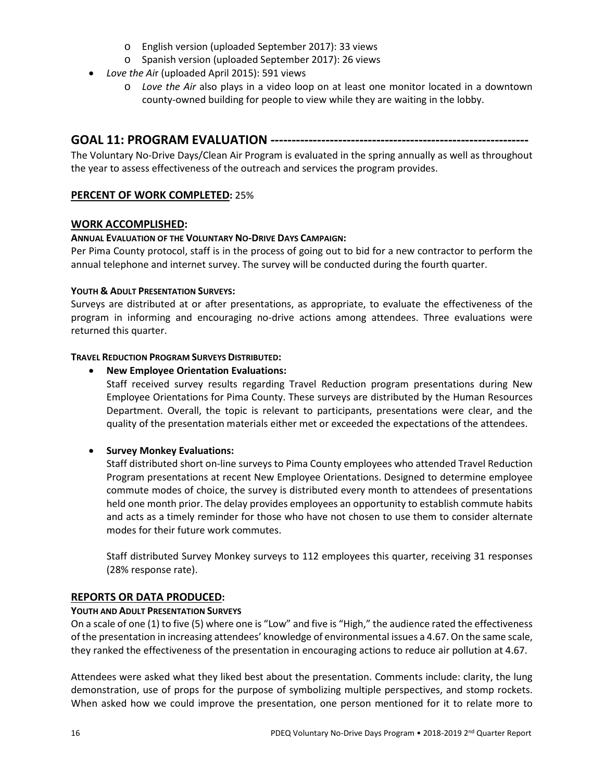- o English version (uploaded September 2017): 33 views
- o Spanish version (uploaded September 2017): 26 views
- *Love the Ai*r (uploaded April 2015): 591 views
	- o *Love the Air* also plays in a video loop on at least one monitor located in a downtown county-owned building for people to view while they are waiting in the lobby.

# **GOAL 11: PROGRAM EVALUATION -------------------------------------------------------------**

The Voluntary No-Drive Days/Clean Air Program is evaluated in the spring annually as well as throughout the year to assess effectiveness of the outreach and services the program provides.

## **PERCENT OF WORK COMPLETED:** 25%

## **WORK ACCOMPLISHED:**

#### **ANNUAL EVALUATION OF THE VOLUNTARY NO-DRIVE DAYS CAMPAIGN:**

Per Pima County protocol, staff is in the process of going out to bid for a new contractor to perform the annual telephone and internet survey. The survey will be conducted during the fourth quarter.

#### **YOUTH & ADULT PRESENTATION SURVEYS:**

Surveys are distributed at or after presentations, as appropriate, to evaluate the effectiveness of the program in informing and encouraging no-drive actions among attendees. Three evaluations were returned this quarter.

#### **TRAVEL REDUCTION PROGRAM SURVEYS DISTRIBUTED:**

#### • **New Employee Orientation Evaluations:**

Staff received survey results regarding Travel Reduction program presentations during New Employee Orientations for Pima County. These surveys are distributed by the Human Resources Department. Overall, the topic is relevant to participants, presentations were clear, and the quality of the presentation materials either met or exceeded the expectations of the attendees.

## • **Survey Monkey Evaluations:**

Staff distributed short on-line surveys to Pima County employees who attended Travel Reduction Program presentations at recent New Employee Orientations. Designed to determine employee commute modes of choice, the survey is distributed every month to attendees of presentations held one month prior. The delay provides employees an opportunity to establish commute habits and acts as a timely reminder for those who have not chosen to use them to consider alternate modes for their future work commutes.

Staff distributed Survey Monkey surveys to 112 employees this quarter, receiving 31 responses (28% response rate).

## **REPORTS OR DATA PRODUCED:**

#### **YOUTH AND ADULT PRESENTATION SURVEYS**

On a scale of one (1) to five (5) where one is "Low" and five is "High," the audience rated the effectiveness of the presentation in increasing attendees' knowledge of environmental issues a 4.67. On the same scale, they ranked the effectiveness of the presentation in encouraging actions to reduce air pollution at 4.67.

Attendees were asked what they liked best about the presentation. Comments include: clarity, the lung demonstration, use of props for the purpose of symbolizing multiple perspectives, and stomp rockets. When asked how we could improve the presentation, one person mentioned for it to relate more to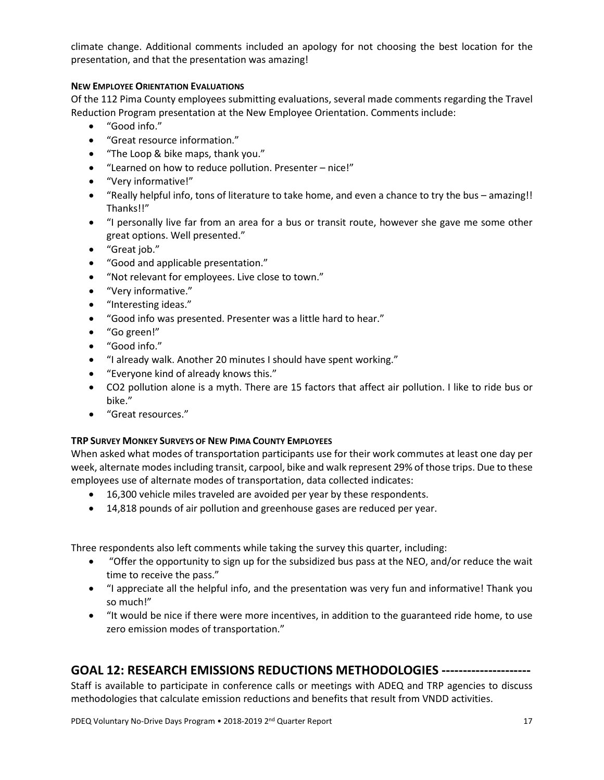climate change. Additional comments included an apology for not choosing the best location for the presentation, and that the presentation was amazing!

## **NEW EMPLOYEE ORIENTATION EVALUATIONS**

Of the 112 Pima County employees submitting evaluations, several made comments regarding the Travel Reduction Program presentation at the New Employee Orientation. Comments include:

- "Good info."
- "Great resource information."
- "The Loop & bike maps, thank you."
- "Learned on how to reduce pollution. Presenter nice!"
- "Very informative!"
- "Really helpful info, tons of literature to take home, and even a chance to try the bus amazing!! Thanks!!"
- "I personally live far from an area for a bus or transit route, however she gave me some other great options. Well presented."
- "Great job."
- "Good and applicable presentation."
- "Not relevant for employees. Live close to town."
- "Very informative."
- "Interesting ideas."
- "Good info was presented. Presenter was a little hard to hear."
- "Go green!"
- "Good info."
- "I already walk. Another 20 minutes I should have spent working."
- "Everyone kind of already knows this."
- CO2 pollution alone is a myth. There are 15 factors that affect air pollution. I like to ride bus or bike."
- "Great resources."

## **TRP SURVEY MONKEY SURVEYS OF NEW PIMA COUNTY EMPLOYEES**

When asked what modes of transportation participants use for their work commutes at least one day per week, alternate modes including transit, carpool, bike and walk represent 29% of those trips. Due to these employees use of alternate modes of transportation, data collected indicates:

- 16,300 vehicle miles traveled are avoided per year by these respondents.
- 14,818 pounds of air pollution and greenhouse gases are reduced per year.

Three respondents also left comments while taking the survey this quarter, including:

- "Offer the opportunity to sign up for the subsidized bus pass at the NEO, and/or reduce the wait time to receive the pass."
- "I appreciate all the helpful info, and the presentation was very fun and informative! Thank you so much!"
- "It would be nice if there were more incentives, in addition to the guaranteed ride home, to use zero emission modes of transportation."

# **GOAL 12: RESEARCH EMISSIONS REDUCTIONS METHODOLOGIES ---------------------**

Staff is available to participate in conference calls or meetings with ADEQ and TRP agencies to discuss methodologies that calculate emission reductions and benefits that result from VNDD activities.

PDEQ Voluntary No-Drive Days Program • 2018-2019 2<sup>nd</sup> Quarter Report 17